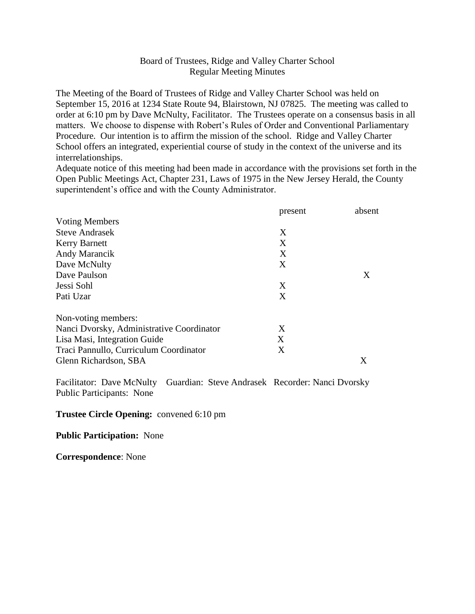# Board of Trustees, Ridge and Valley Charter School Regular Meeting Minutes

The Meeting of the Board of Trustees of Ridge and Valley Charter School was held on September 15, 2016 at 1234 State Route 94, Blairstown, NJ 07825. The meeting was called to order at 6:10 pm by Dave McNulty, Facilitator. The Trustees operate on a consensus basis in all matters. We choose to dispense with Robert's Rules of Order and Conventional Parliamentary Procedure. Our intention is to affirm the mission of the school. Ridge and Valley Charter School offers an integrated, experiential course of study in the context of the universe and its interrelationships.

Adequate notice of this meeting had been made in accordance with the provisions set forth in the Open Public Meetings Act, Chapter 231, Laws of 1975 in the New Jersey Herald, the County superintendent's office and with the County Administrator.

|                                           | present | absent |
|-------------------------------------------|---------|--------|
| <b>Voting Members</b>                     |         |        |
| <b>Steve Andrasek</b>                     | X       |        |
| <b>Kerry Barnett</b>                      | X       |        |
| Andy Marancik                             | X       |        |
| Dave McNulty                              | X       |        |
| Dave Paulson                              |         | X      |
| Jessi Sohl                                | X       |        |
| Pati Uzar                                 | X       |        |
| Non-voting members:                       |         |        |
| Nanci Dvorsky, Administrative Coordinator | X       |        |
| Lisa Masi, Integration Guide              | X       |        |
| Traci Pannullo, Curriculum Coordinator    | X       |        |
| Glenn Richardson, SBA                     |         | X      |

Facilitator: Dave McNulty Guardian: Steve Andrasek Recorder: Nanci Dvorsky Public Participants: None

#### **Trustee Circle Opening:** convened 6:10 pm

### **Public Participation:** None

**Correspondence**: None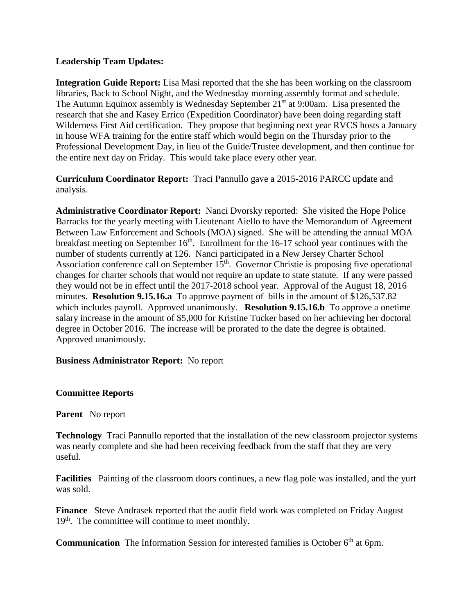# **Leadership Team Updates:**

**Integration Guide Report:** Lisa Masi reported that the she has been working on the classroom libraries, Back to School Night, and the Wednesday morning assembly format and schedule. The Autumn Equinox assembly is Wednesday September  $21<sup>st</sup>$  at 9:00am. Lisa presented the research that she and Kasey Errico (Expedition Coordinator) have been doing regarding staff Wilderness First Aid certification. They propose that beginning next year RVCS hosts a January in house WFA training for the entire staff which would begin on the Thursday prior to the Professional Development Day, in lieu of the Guide/Trustee development, and then continue for the entire next day on Friday. This would take place every other year.

**Curriculum Coordinator Report:** Traci Pannullo gave a 2015-2016 PARCC update and analysis.

**Administrative Coordinator Report:** Nanci Dvorsky reported: She visited the Hope Police Barracks for the yearly meeting with Lieutenant Aiello to have the Memorandum of Agreement Between Law Enforcement and Schools (MOA) signed. She will be attending the annual MOA breakfast meeting on September  $16<sup>th</sup>$ . Enrollment for the 16-17 school year continues with the number of students currently at 126. Nanci participated in a New Jersey Charter School Association conference call on September  $15<sup>th</sup>$ . Governor Christie is proposing five operational changes for charter schools that would not require an update to state statute. If any were passed they would not be in effect until the 2017-2018 school year. Approval of the August 18, 2016 minutes. **Resolution 9.15.16.a** To approve payment of bills in the amount of \$126,537.82 which includes payroll. Approved unanimously. **Resolution 9.15.16.b** To approve a onetime salary increase in the amount of \$5,000 for Kristine Tucker based on her achieving her doctoral degree in October 2016. The increase will be prorated to the date the degree is obtained. Approved unanimously.

### **Business Administrator Report:** No report

### **Committee Reports**

**Parent** No report

**Technology** Traci Pannullo reported that the installation of the new classroom projector systems was nearly complete and she had been receiving feedback from the staff that they are very useful.

**Facilities** Painting of the classroom doors continues, a new flag pole was installed, and the yurt was sold.

**Finance** Steve Andrasek reported that the audit field work was completed on Friday August 19<sup>th</sup>. The committee will continue to meet monthly.

**Communication** The Information Session for interested families is October 6<sup>th</sup> at 6pm.